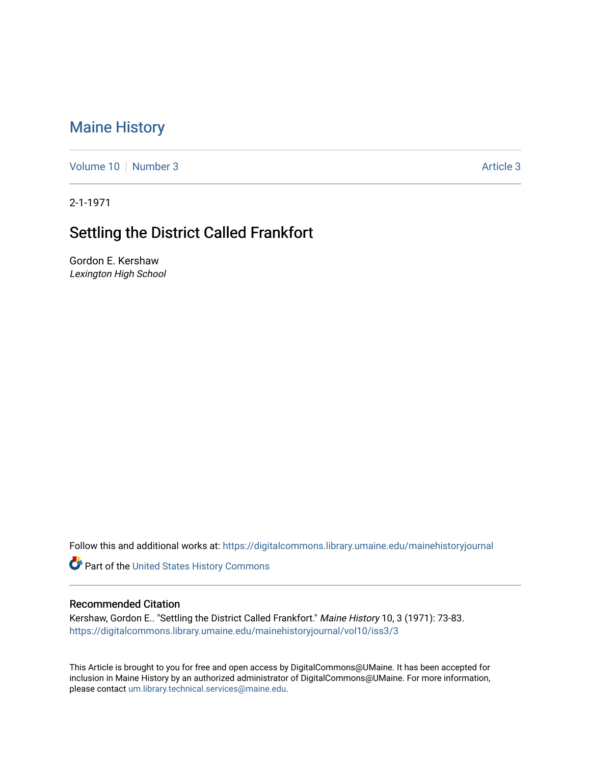## [Maine History](https://digitalcommons.library.umaine.edu/mainehistoryjournal)

[Volume 10](https://digitalcommons.library.umaine.edu/mainehistoryjournal/vol10) [Number 3](https://digitalcommons.library.umaine.edu/mainehistoryjournal/vol10/iss3) Article 3

2-1-1971

## Settling the District Called Frankfort

Gordon E. Kershaw Lexington High School

Follow this and additional works at: [https://digitalcommons.library.umaine.edu/mainehistoryjournal](https://digitalcommons.library.umaine.edu/mainehistoryjournal?utm_source=digitalcommons.library.umaine.edu%2Fmainehistoryjournal%2Fvol10%2Fiss3%2F3&utm_medium=PDF&utm_campaign=PDFCoverPages) 

Part of the [United States History Commons](http://network.bepress.com/hgg/discipline/495?utm_source=digitalcommons.library.umaine.edu%2Fmainehistoryjournal%2Fvol10%2Fiss3%2F3&utm_medium=PDF&utm_campaign=PDFCoverPages) 

## Recommended Citation

Kershaw, Gordon E.. "Settling the District Called Frankfort." Maine History 10, 3 (1971): 73-83. [https://digitalcommons.library.umaine.edu/mainehistoryjournal/vol10/iss3/3](https://digitalcommons.library.umaine.edu/mainehistoryjournal/vol10/iss3/3?utm_source=digitalcommons.library.umaine.edu%2Fmainehistoryjournal%2Fvol10%2Fiss3%2F3&utm_medium=PDF&utm_campaign=PDFCoverPages)

This Article is brought to you for free and open access by DigitalCommons@UMaine. It has been accepted for inclusion in Maine History by an authorized administrator of DigitalCommons@UMaine. For more information, please contact [um.library.technical.services@maine.edu.](mailto:um.library.technical.services@maine.edu)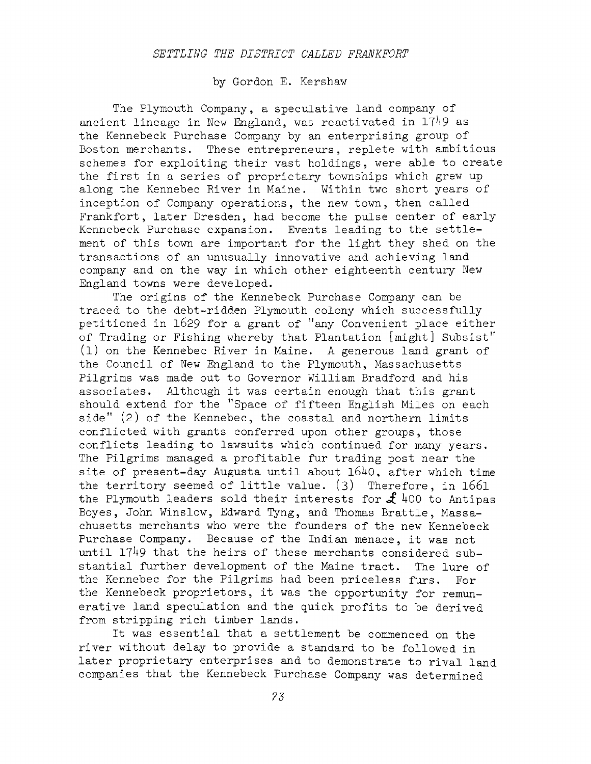## by Gordon E. Kershaw

The Plymouth Company, a speculative land company of ancient lineage in New England, was reactivated in  $1749$  as the Kennebeck Purchase Company by an enterprising group of Boston merchants. These entrepreneurs, replete with ambitious schemes for exploiting their vast holdings, were able to create the first in <sup>a</sup> series of proprietary townships which grew up along the Kennebec River in Maine. Within two short years of inception of Company operations, the new town, then called Frankfort, later Dresden, had become the pulse center of early Kennebeck Purchase expansion. Events leading to the settlement of this town are important for the light they shed on the transactions of an unusually innovative and achieving land company and on the way in which other eighteenth century New England towns were developed.

The origins of the Kennebeck Purchase Company can be traced to the debt-ridden Plymouth colony which successfully petitioned in <sup>1629</sup> for a grant of ''any Convenient place either of Trading or Fishing whereby that Plantation [might] Subsist" (1) on the Kennebec River in Maine. A generous land grant of the Council of New England to the Plymouth, Massachusetts Pilgrims was made out to Governor William Bradford and his associates. Although it was certain enough that this grant should extend for the ''Space of fifteen English Miles on each side" (2) of the Kennebec, the coastal and northern limits conflicted with grants conferred upon other groups, those conflicts leading to lawsuits which continued for many years. The Pilgrims managed a profitable fur trading post near the site of present-day Augusta until about  $1640$ , after which time the territory seemed of little value. (3) Therefore, in <sup>1661</sup> the Plymouth leaders sold their interests for  $f$  400 to Antipas Boyes, John Winslow, Edward Tyng, and Thomas Brattle, Massachusetts merchants who were the founders of the new Kennebeck Purchase Company. Because of the Indian menace, it was not until  $1749$  that the heirs of these merchants considered substantial further development of the Maine tract. The lure of the Kennebec for the Pilgrims had been priceless furs. For the Kennebeck proprietors, it was the opportunity for remunerative land speculation and the quick profits to be derived from stripping rich timber lands.

It was essential that <sup>a</sup> settlement be commenced on the river without delay to provide <sup>a</sup> standard to be followed in later proprietary enterprises and to demonstrate to rival land companies that the Kennebeck Purchase Company was determined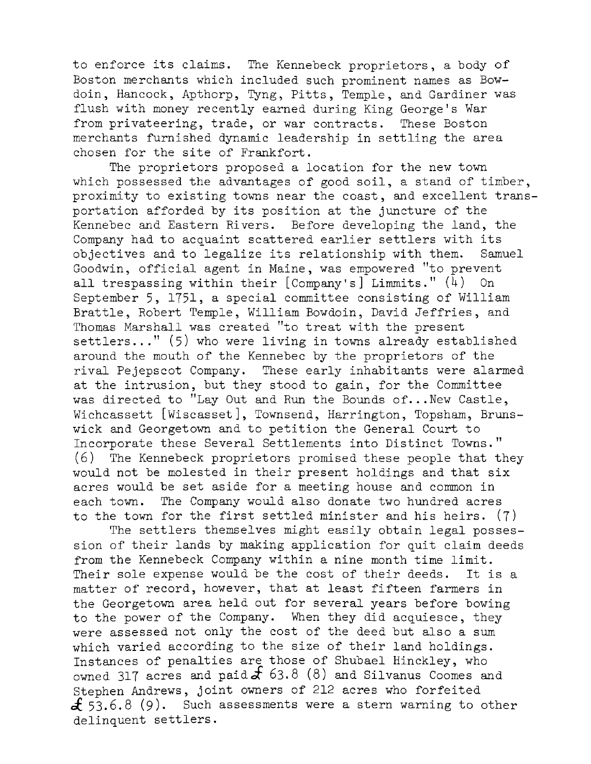to enforce its claims. The Kennebeck proprietors, <sup>a</sup> body of Boston merchants which included such prominent names as Bowdoin, Hancock, Apthorp, Tyng, Pitts, Temple, and Gardiner was flush with money recently earned during King George's War from privateering, trade, or war contracts. These Boston merchants furnished dynamic leadership in settling the area chosen for the site of Frankfort.

The proprietors proposed a location for the new town which possessed the advantages of good soil, <sup>a</sup> stand of timber, proximity to existing towns near the coast, and excellent transportation afforded by its position at the juncture of the Kennebec and Eastern Rivers. Before developing the land, the Company had to acquaint scattered earlier settlers with its objectives and to legalize its relationship with them. Samuel Goodwin, official agent in Maine, was empowered "to prevent all trespassing within their  $[Compar's]$  Limmits."  $(4)$  On September 5, 1751, a special committee consisting of William Brattle, Robert Temple, William Bowdoin, David Jeffries, and Thomas Marshall was created "to treat with the present settlers..." (5) who were living in towns already established around the mouth of the Kennebec by the proprietors of the rival Pejepscot Company. These early inhabitants were alarmed at the intrusion, but they stood to gain, for the Committee was directed to "Lay Out and Run the Bounds of...New Castle, Wichcassett [Wiscasset], Townsend, Harrington, Topsham, Brunswick and Georgetown and to petition the General Court to Incorporate these Several Settlements into Distinct Towns." (6) The Kennebeck proprietors promised these people that they would not be molested in their present holdings and that six acres would be set aside for a meeting house and common in each town. The Company would also donate two hundred acres to the town for the first settled minister and his heirs. (7)

The settlers themselves might easily obtain legal possession of their lands by making application for quit claim deeds from the Kennebeck Company within a nine month time limit. Their sole expense would be the cost of their deeds. It is a matter of record, however, that at least fifteen farmers in the Georgetown area held out for several years before bowing to the power of the Company. When they did acquiesce, they were assessed not only the cost of the deed but also <sup>a</sup> sum which varied according to the size of their land holdings. Instances of penalties are those of Shubael Hinckley, who owned 317 acres and paid  $\mathcal f$  63.8 (8) and Silvanus Coomes and Stephen Andrews, joint owners of <sup>212</sup> acres who forfeited  $f$  53.6.8 (9). Such assessments were a stern warning to other delinquent settlers.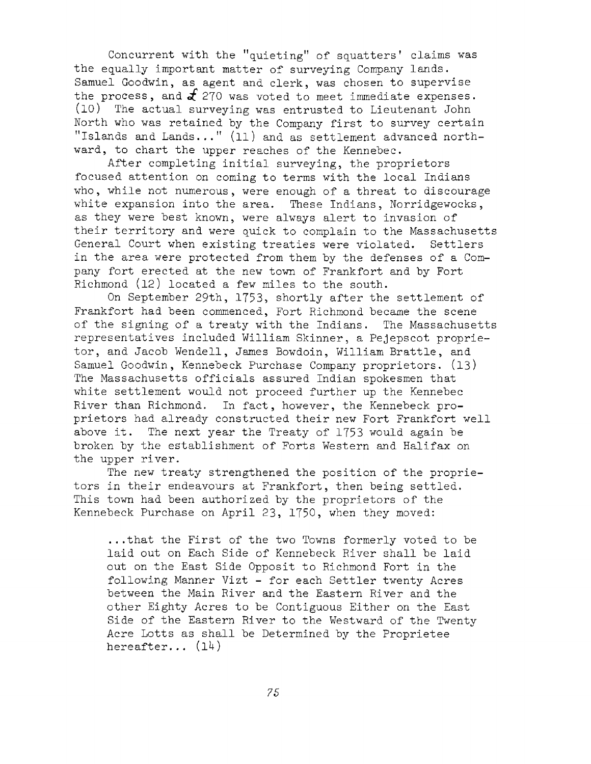Concurrent with the "quieting" of squatters' claims was the equally important matter of surveying Company lands. Samuel Goodwin, as agent and clerk, was chosen to supervise the process, and  $\mathcal{L}$  270 was voted to meet immediate expenses. (10) The actual surveying was entrusted to Lieutenant John North who was retained by the Company first to survey certain "Islands and Lands..." (11) and as settlement advanced northward, to chart the upper reaches of the Kennebec.

After completing initial surveying, the proprietors focused attention on coming to terms with the local Indians who, while not numerous, were enough of <sup>a</sup> threat to discourage white expansion into the area. These Indians, Norridgewocks, as they were best known, were always alert to invasion of their territory and were quick to complain to the Massachusetts General Court when existing treaties were violated. Settlers in the area were protected from them by the defenses of <sup>a</sup> Company fort erected at the new town of Frankfort and by Fort Richmond (12) located a few miles to the south.

On September 29th, 1753, shortly after the settlement of Frankfort had been commenced, Fort Richmond became the scene of the signing of <sup>a</sup> treaty with the Indians. The Massachusetts representatives included William Skinner, a Pejepscot proprietor, and Jacob Wendell, James Bowdoin, William Brattle, and Samuel Goodwin, Kennebeck Purchase Company proprietors. (13) The Massachusetts officials assured Indian spokesmen that white settlement would not proceed further up the Kennebec River than Richmond. In fact, however, the Kennebeck proprietors had already constructed their new Fort Frankfort well above it. The next year the Treaty of <sup>1753</sup> would again be broken by the establishment of Forts Western and Halifax on the upper river.

The new treaty strengthened the position of the proprietors in their endeavours at Frankfort, then being settled. This town had been authorized by the proprietors of the Kennebeck Purchase on April 23, 1750, when they moved:

...that the First of the two Towns formerly voted to be laid out on Each Side of Kennebeck River shall be laid out on the East Side Opposit to Richmond Fort in the following Manner Vizt - for each Settler twenty Acres between the Main River and the Eastern River and the other Eighty Acres to be Contiguous Either on the East Side of the Eastern River to the Westward of the Twenty Acre Lotts as shall be Determined by the Proprietee hereafter...  $(14)$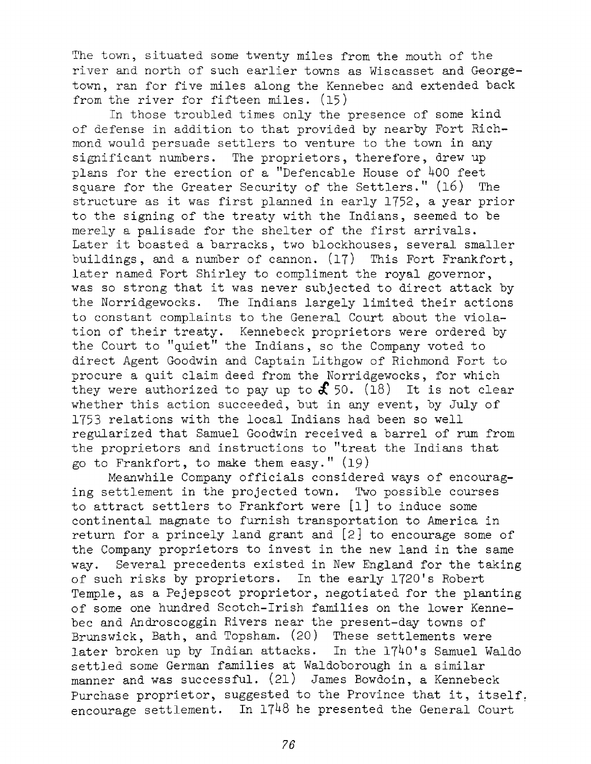The town, situated some twenty miles from the mouth of the river and north of such earlier towns as Wiscasset and Georgetown, ran for five miles along the Kennebec and extended back from the river for fifteen miles. (15)

In those troubled times only the presence of some kind of defense in addition to that provided by nearby Fort Richmond would persuade settlers to venture to the town in any significant numbers. The proprietors, therefore, drew up plans for the erection of a ''Defencable House of <sup>400</sup> feet square for the Greater Security of the Settlers." (16) The structure as it was first planned in early 1752, <sup>a</sup> year prior to the signing of the treaty with the Indians, seemed to be merely <sup>a</sup> palisade for the shelter of the first arrivals. Later it boasted <sup>a</sup> barracks, two blockhouses, several smaller buildings, and a number of cannon. (17) This Fort Frankfort, later named Fort Shirley to compliment the royal governor, was so strong that it was never subjected to direct attack by the Norridgewocks. The Indians largely limited their actions to constant complaints to the General Court about the violation of their treaty. Kennebeck proprietors were ordered by the Court to ''quiet" the Indians, so the Company voted to direct Agent Goodwin and Captain Lithgow of Richmond Fort to procure a quit claim deed from the Norridgewocks, for which they were authorized to pay up to  $\mathbf{\mathcal{F}}$  50. (18) It is not clear whether this action succeeded, but in any event, by July of 1753 relations with the local Indians had been so well regularized that Samuel Goodwin received a barrel of rum from the proprietors and instructions to ''treat the Indians that go to Frankfort, to make them easy." (19)

Meanwhile Company officials considered ways of encouraging settlement in the projected town. Two possible courses to attract settlers to Frankfort were [1] to induce some continental magnate to furnish transportation to America in return for <sup>a</sup> princely land grant and [2] to encourage some of the Company proprietors to invest in the new land in the same way. Several precedents existed in New England for the taking of such risks by proprietors. In the early 1720's Robert Temple, as a Pejepscot proprietor, negotiated for the planting of some one hundred Scotch-Irish families on the lower Kennebec and Androscoggin Rivers near the present-day towns of Brunswick, Bath, and Topsham. (20) These settlements were later broken up by Indian attacks. In the 1740's Samuel Waldo settled some German families at Waldoborough in a similar manner and was successful. (21) James Bowdoin, a Kennebeck Purchase proprietor, suggested to the Province that it, itself, encourage settlement. In  $17^{48}$  he presented the General Court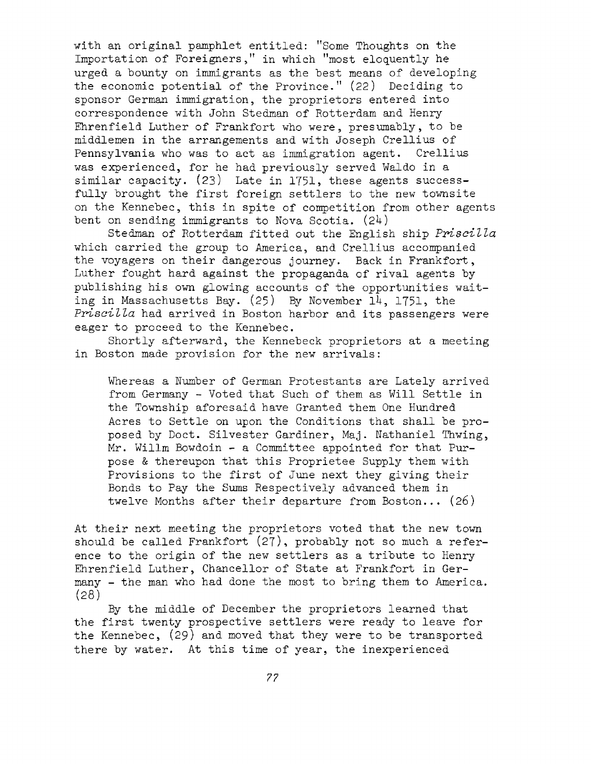with an original pamphlet entitled: "Some Thoughts on the Importation of Foreigners," in which "most eloquently he urged a bounty on immigrants as the best means of developing the economic potential of the Province." (22) Deciding to sponsor German immigration, the proprietors entered into correspondence with John Stedman of Rotterdam and Henry Ehrenfield Luther of Frankfort who were, presumably, to be middlemen in the arrangements and with Joseph Crellius of Pennsylvania who was to act as immigration agent. Crellius was experienced, for he had previously served Waldo in <sup>a</sup> similar capacity. (23) Late in 1751, these agents successfully brought the first foreign settlers to the new townsite on the Kennebec, this in spite of competition from other agents bent on sending immigrants to Nova Scotia.  $(24)$ 

Stedman of Rotterdam fitted out the English ship *Priscilla* which carried the group to America, and Crellius accompanied the voyagers on their dangerous journey. Back in Frankfort, Luther fought hard against the propaganda of rival agents by publishing his own glowing accounts of the opportunities waiting in Massachusetts Bay. (25) By November 14, 1751, the *Priscil/la* had arrived in Boston harbor and its passengers were eager to proceed to the Kennebec.

Shortly afterward, the Kennebeck proprietors at a meeting in Boston made provision for the new arrivals:

Whereas <sup>a</sup> Number of German Protestants are Lately arrived from Germany - Voted that Such of them as Will Settle in the Township aforesaid have Granted them One Hundred Acres to Settle on upon the Conditions that shall be proposed by Doct. Silvester Gardiner, Maj. Nathaniel Thwing, Mr. Willm Bowdoin - a Committee appointed for that Purpose & thereupon that this Proprietee Supply them with Provisions to the first of June next they giving their Bonds to Pay the Sums Respectively advanced them in twelve Months after their departure from Boston... (26)

At their next meeting the proprietors voted that the new town should be called Frankfort (27), probably not so much a reference to the origin of the new settlers as <sup>a</sup> tribute to Henry Ehrenfield Luther, Chancellor of State at Frankfort in Germany - the man who had done the most to bring them to America. (28)

By the middle of December the proprietors learned that the first twenty prospective settlers were ready to leave for the Kennebec, (29) and moved that they were to be transported there by water. At this time of year, the inexperienced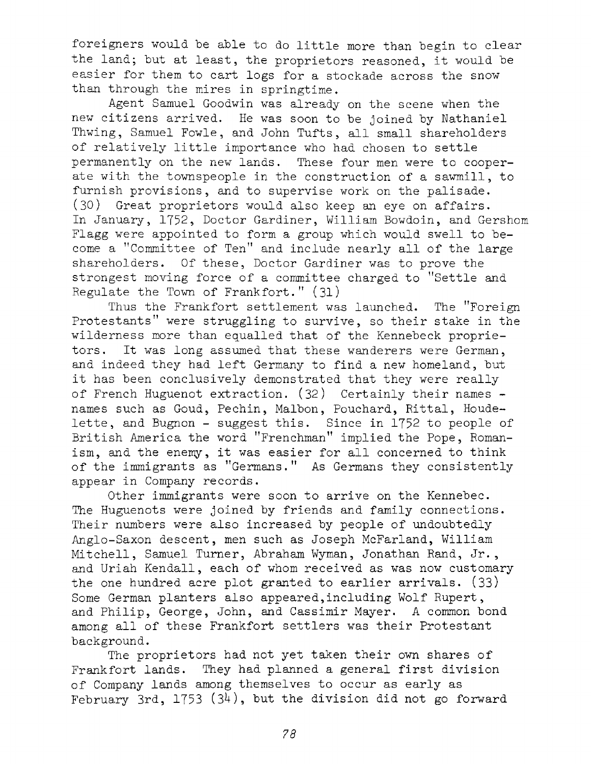foreigners would be able to do little more than begin to clear the land; but at least, the proprietors reasoned, it would be easier for them to cart logs for <sup>a</sup> stockade across the snow than through the mires in springtime.

Agent Samuel Goodwin was already on the scene when the new citizens arrived. He was soon to be joined by Nathaniel Thwing, Samuel Fowle, and John Tufts, all small shareholders of relatively little importance who had chosen to settle permanently on the new lands. These four men were to cooperate with the townspeople in the construction of a sawmill, to furnish provisions, and to supervise work on the palisade. (30) Great proprietors would also keep an eye on affairs. In January, 1752, Doctor Gardiner, William Bowdoin, and Gershom Flagg were appointed to form a group which would swell to become <sup>a</sup> ''Committee of Ten" and include nearly all of the large shareholders. Of these, Doctor Gardiner was to prove the strongest moving force of <sup>a</sup> committee charged to "Settle and Regulate the Town of Frankfort." (31)

Thus the Frankfort settlement was launched. The ''Foreign Protestants" were struggling to survive, so their stake in the wilderness more than equalled that of the Kennebeck proprietors. It was long assumed that these wanderers were German, and indeed they had left Germany to find <sup>a</sup> new homeland, but it has been conclusively demonstrated that they were really of French Huguenot extraction. (32) Certainly their names names such as Goud, Pechin, Malbon, Pouchard, Rittal, Houdelette, and Bugnon - suggest this. Since in <sup>1752</sup> to people of British America the word "Frenchman" implied the Pope, Romanism, and the enemy, it was easier for all concerned to think of the immigrants as "Germans." As Germans they consistently appear in Company records.

Other immigrants were soon to arrive on the Kennebec. The Huguenots were joined by friends and family connections. Their numbers were also increased by people of undoubtedly Anglo-Saxon descent, men such as Joseph McFarland, William Mitchell, Samuel Turner, Abraham Wyman, Jonathan Rand, Jr., and Uriah Kendall, each of whom received as was now customary the one hundred acre plot granted to earlier arrivals. (33) Some German planters also appeared,including Wolf Rupert, and Philip, George, John, and Cassimir Mayer. A common bond among all of these Frankfort settlers was their Protestant background.

The proprietors had not yet taken their own shares of Frankfort lands. They had planned <sup>a</sup> general first division of Company lands among themselves to occur as early as February 3rd, 1753 (34), but the division did not go forward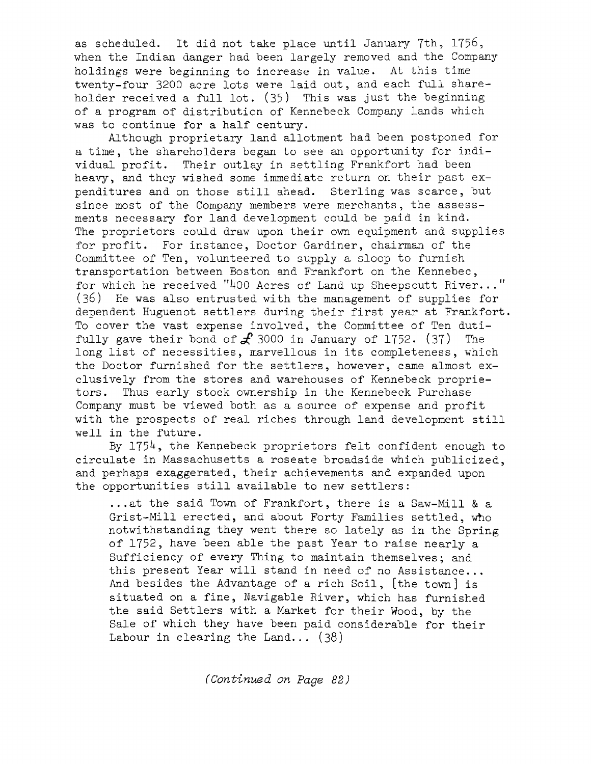as scheduled. It did not take place until January 7th, 1756, when the Indian danger had been largely removed and the Company holdings were beginning to increase in value. At this time twenty-four <sup>3200</sup> acre lots were laid out, and each full shareholder received <sup>a</sup> full lot. (35) This was Just the beginning of a program of distribution of Kennebeck Company lands which was to continue for a half century.

Although proprietary land allotment had been postponed for <sup>a</sup> time, the shareholders began to see an opportunity for individual profit. Their outlay in settling Frankfort had been heavy, and they wished some immediate return on their past expenditures and on those still ahead. Sterling was scarce, but since most of the Company members were merchants, the assessments necessary for land development could be paid in kind. The proprietors could draw upon their own equipment and supplies for profit. For instance, Doctor Gardiner, chairman of the Committee of Ten, volunteered to supply a sloop to furnish transportation between Boston and Frankfort on the Kennebec, for which he received "400 Acres of Land up Sheepscutt River..." (36) He was also entrusted with the management of supplies for dependent Huguenot settlers during their first year at Frankfort. To cover the vast expense involved, the Committee of Ten dutifully gave their bond of  $\mathcal{L}$  3000 in January of 1752. (37) The long list of necessities, marvellous in its completeness, which the Doctor furnished for the settlers, however, came almost exclusively from the stores and warehouses of Kennebeck proprietors. Thus early stock ownership in the Kennebeck Purchase Company must be viewed both as <sup>a</sup> source of expense and profit with the prospects of real riches through land development still well in the future.

By  $1754$ , the Kennebeck proprietors felt confident enough to circulate in Massachusetts a roseate broadside which publicized, and perhaps exaggerated, their achievements and expanded upon the opportunities still available to new settlers:

...at the said Town of Frankfort, there is <sup>a</sup> Saw-Mill & <sup>a</sup> Grist-Mill erected, and about Forty Families settled, who notwithstanding they went there so lately as in the Spring of 1752, have been able the past Year to raise nearly <sup>a</sup> Sufficiency of every Thing to maintain themselves; and this present Year will stand in need of no Assistance... And besides the Advantage of a rich Soil, [the town] is situated on a fine, Navigable River, which has furnished the said Settlers with <sup>a</sup> Market for their Wood, by the Sale of which they have been paid considerable for their Labour in clearing the Land... (38)

*(Continued on Page 82)*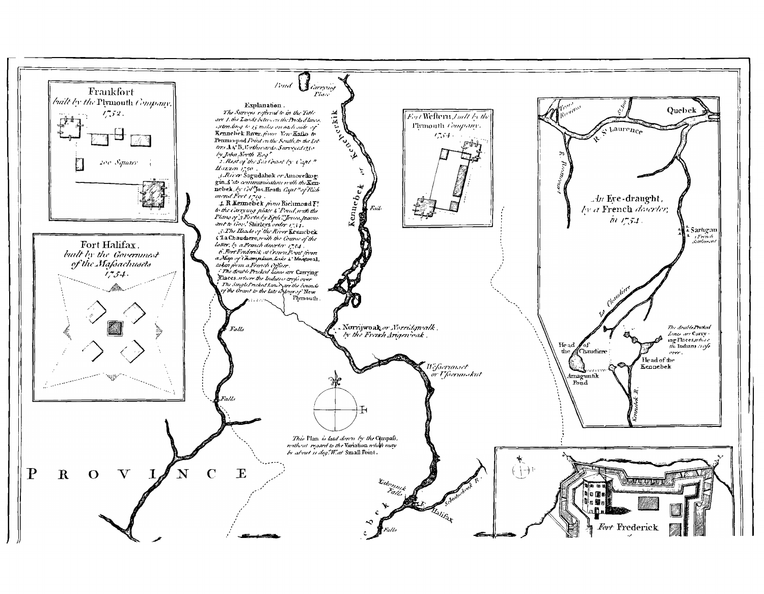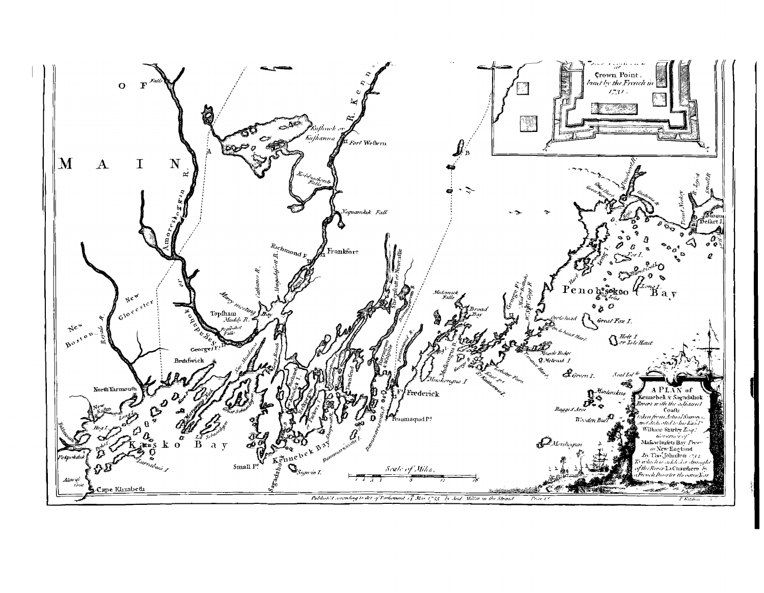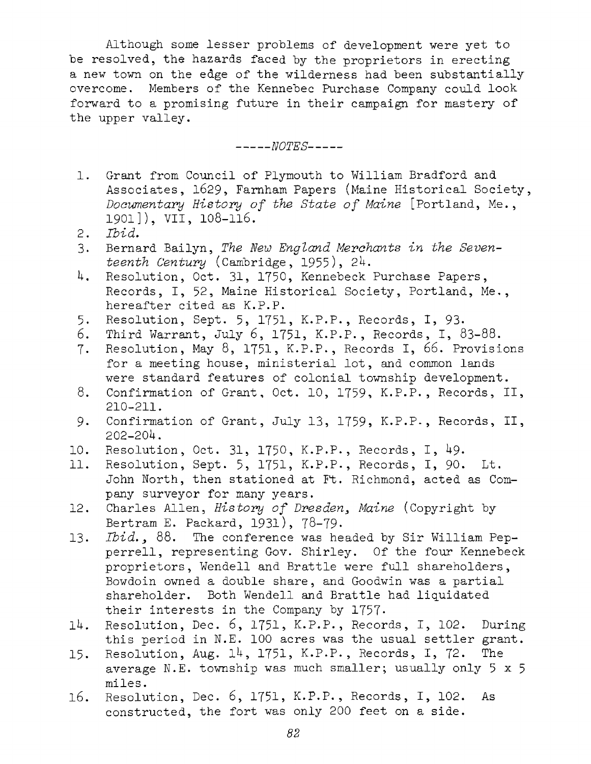Although some lesser problems of development were yet to be resolved, the hazards faced by the proprietors in erecting <sup>a</sup> new town on the edge of the wilderness had been substantially overcome. Members of the Kennebec Purchase Company could look forward to <sup>a</sup> promising future in their campaign for mastery of the upper valley.

*-------- NOTES---------*

- 1. Grant from Council of Plymouth to William Bradford and Associates, 1629, Farnham Papers (Maine Historical Society, *Documentary History of the State of Maine* [Portland, Me., 1901]), VII, 108-116.
- 2. *Ibid.*
- 3. Bernard Bailyn, *The Hew England Merchants in the Seventeenth Century* (Cambridge, 1955), 2U.
- 4. Resolution, Oct. 31, 1750, Kennebeck Purchase Papers, Records, I, 52, Maine Historical Society, Portland, Me., hereafter cited as K.P.P.
- 5. Resolution, Sept. 5, 1751, K.P.P., Records, I, 93.<br>6. Third Warrant, July 6, 1751, K.P.P., Records, I, 8
- Third Warrant, July 6, 1751, K.P.P., Records, I, 83-88.
- 7. Resolution, May 8, 1751, K.P.P., Records I, 66. Provisions for <sup>a</sup> meeting house, ministerial lot, and common lands were standard features of colonial township development.
- 8. Confirmation of Grant, Oct. 10, 1759, K.P.P., Records, II, 210-211.
- 9. Confirmation of Grant, July 13, 1759, K.P.P., Records, II,  $202 - 204$ .
- 10. Resolution, Oct. 31, 1750, K.P.P., Records, I, 49.<br>11. Resolution, Sept. 5, 1751, K.P.P., Records, I, 90.
- Resolution, Sept. 5, 1751, K.P.P., Records, I, 90. Lt. John North, then stationed at Ft. Richmond, acted as Company surveyor for many years.
- 12. Charles Allen, *History of Dresden^ Maine* (Copyright by Bertram E. Packard, 1931), 78-79-
- 13. *Ibid., 88.* The conference was headed by Sir William Pepperrell, representing Gov. Shirley. Of the four Kennebeck proprietors, Wendell and Brattle were full shareholders, Bowdoin owned <sup>a</sup> double share, and Goodwin was <sup>a</sup> partial shareholder. Both Wendell and Brattle had liquidated their interests in the Company by 1757-
- 11+. Resolution, Dec. 6, 1751, K.P.P., Records, I, 102. During this period in N.E. <sup>100</sup> acres was the usual settler grant.
- 15. Resolution, Aug. 14, 1751, K.P.P., Records, I, 72. The average N.E. township was much smaller; usually only 5x5 miles.
- 16. Resolution, Dec. 6, 1751, K.P.P., Records, I, 102. As constructed, the fort was only <sup>200</sup> feet on a side.